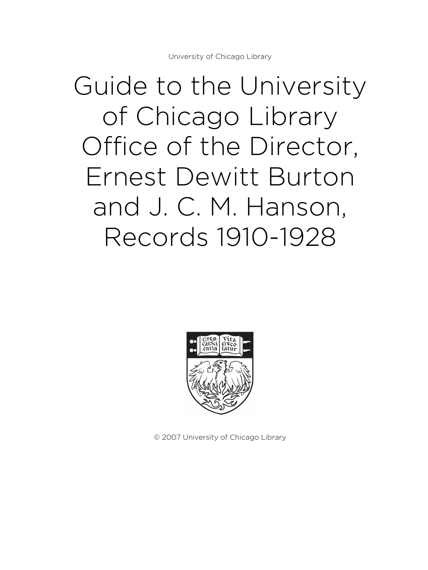# Guide to the University of Chicago Library Office of the Director, Ernest Dewitt Burton and J. C. M. Hanson, Records 1910-1928



© 2007 University of Chicago Library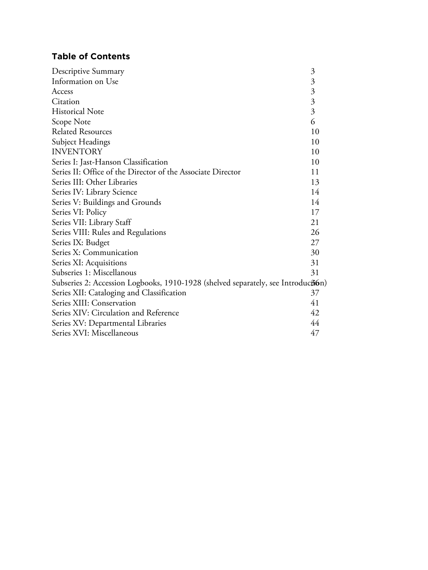# **Table of Contents**

| Descriptive Summary                                                               | 3                         |
|-----------------------------------------------------------------------------------|---------------------------|
| Information on Use                                                                | $\mathfrak{Z}$            |
| Access                                                                            | $\mathfrak{Z}$            |
| Citation                                                                          | $\overline{\mathfrak{Z}}$ |
| <b>Historical Note</b>                                                            | 3                         |
| Scope Note                                                                        | 6                         |
| <b>Related Resources</b>                                                          | 10                        |
| Subject Headings                                                                  | 10                        |
| <b>INVENTORY</b>                                                                  | 10                        |
| Series I: Jast-Hanson Classification                                              |                           |
| Series II: Office of the Director of the Associate Director                       |                           |
| Series III: Other Libraries                                                       | 13                        |
| Series IV: Library Science                                                        | 14                        |
| Series V: Buildings and Grounds                                                   |                           |
| Series VI: Policy                                                                 | 17                        |
| Series VII: Library Staff                                                         | 21                        |
| Series VIII: Rules and Regulations                                                |                           |
| Series IX: Budget                                                                 |                           |
| Series X: Communication                                                           |                           |
| Series XI: Acquisitions                                                           |                           |
| Subseries 1: Miscellanous                                                         | 31                        |
| Subseries 2: Accession Logbooks, 1910-1928 (shelved separately, see Introduction) |                           |
| Series XII: Cataloging and Classification                                         | 37                        |
| Series XIII: Conservation                                                         | 41                        |
| Series XIV: Circulation and Reference                                             | 42                        |
| Series XV: Departmental Libraries                                                 |                           |
| Series XVI: Miscellaneous                                                         |                           |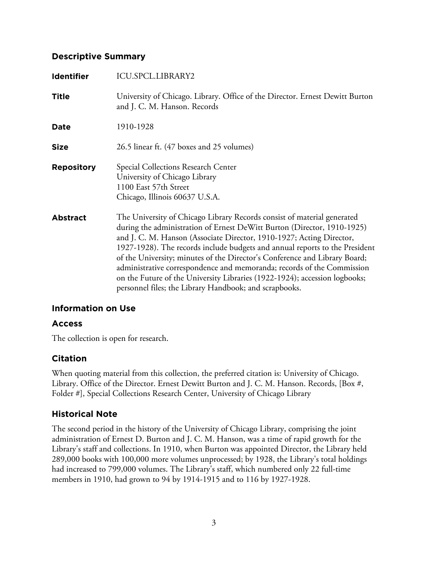# **Descriptive Summary**

| <b>Identifier</b> | <b>ICU.SPCL.LIBRARY2</b>                                                                                                                                                                                                                                                                                                                                                                                                                                                                                                                                                                                  |
|-------------------|-----------------------------------------------------------------------------------------------------------------------------------------------------------------------------------------------------------------------------------------------------------------------------------------------------------------------------------------------------------------------------------------------------------------------------------------------------------------------------------------------------------------------------------------------------------------------------------------------------------|
| <b>Title</b>      | University of Chicago. Library. Office of the Director. Ernest Dewitt Burton<br>and J. C. M. Hanson. Records                                                                                                                                                                                                                                                                                                                                                                                                                                                                                              |
| Date              | 1910-1928                                                                                                                                                                                                                                                                                                                                                                                                                                                                                                                                                                                                 |
| <b>Size</b>       | 26.5 linear ft. (47 boxes and 25 volumes)                                                                                                                                                                                                                                                                                                                                                                                                                                                                                                                                                                 |
| <b>Repository</b> | Special Collections Research Center<br>University of Chicago Library<br>1100 East 57th Street<br>Chicago, Illinois 60637 U.S.A.                                                                                                                                                                                                                                                                                                                                                                                                                                                                           |
| <b>Abstract</b>   | The University of Chicago Library Records consist of material generated<br>during the administration of Ernest DeWitt Burton (Director, 1910-1925)<br>and J. C. M. Hanson (Associate Director, 1910-1927; Acting Director,<br>1927-1928). The records include budgets and annual reports to the President<br>of the University; minutes of the Director's Conference and Library Board;<br>administrative correspondence and memoranda; records of the Commission<br>on the Future of the University Libraries (1922-1924); accession logbooks;<br>personnel files; the Library Handbook; and scrapbooks. |

# **Information on Use**

# **Access**

The collection is open for research.

# **Citation**

When quoting material from this collection, the preferred citation is: University of Chicago. Library. Office of the Director. Ernest Dewitt Burton and J. C. M. Hanson. Records, [Box #, Folder #], Special Collections Research Center, University of Chicago Library

# **Historical Note**

The second period in the history of the University of Chicago Library, comprising the joint administration of Ernest D. Burton and J. C. M. Hanson, was a time of rapid growth for the Library's staff and collections. In 1910, when Burton was appointed Director, the Library held 289,000 books with 100,000 more volumes unprocessed; by 1928, the Library's total holdings had increased to 799,000 volumes. The Library's staff, which numbered only 22 full-time members in 1910, had grown to 94 by 1914-1915 and to 116 by 1927-1928.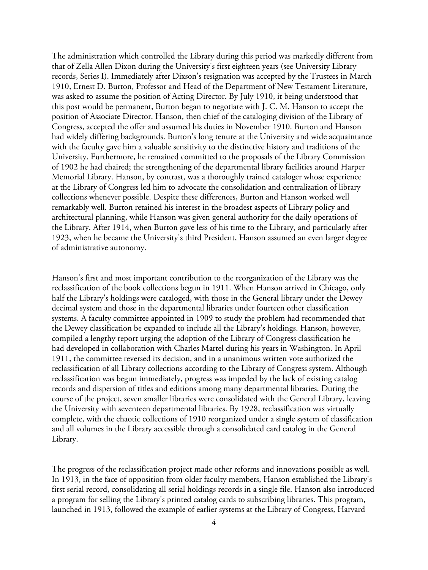The administration which controlled the Library during this period was markedly different from that of Zella Allen Dixon during the University's first eighteen years (see University Library records, Series I). Immediately after Dixson's resignation was accepted by the Trustees in March 1910, Ernest D. Burton, Professor and Head of the Department of New Testament Literature, was asked to assume the position of Acting Director. By July 1910, it being understood that this post would be permanent, Burton began to negotiate with J. C. M. Hanson to accept the position of Associate Director. Hanson, then chief of the cataloging division of the Library of Congress, accepted the offer and assumed his duties in November 1910. Burton and Hanson had widely differing backgrounds. Burton's long tenure at the University and wide acquaintance with the faculty gave him a valuable sensitivity to the distinctive history and traditions of the University. Furthermore, he remained committed to the proposals of the Library Commission of 1902 he had chaired; the strengthening of the departmental library facilities around Harper Memorial Library. Hanson, by contrast, was a thoroughly trained cataloger whose experience at the Library of Congress led him to advocate the consolidation and centralization of library collections whenever possible. Despite these differences, Burton and Hanson worked well remarkably well. Burton retained his interest in the broadest aspects of Library policy and architectural planning, while Hanson was given general authority for the daily operations of the Library. After 1914, when Burton gave less of his time to the Library, and particularly after 1923, when he became the University's third President, Hanson assumed an even larger degree of administrative autonomy.

Hanson's first and most important contribution to the reorganization of the Library was the reclassification of the book collections begun in 1911. When Hanson arrived in Chicago, only half the Library's holdings were cataloged, with those in the General library under the Dewey decimal system and those in the departmental libraries under fourteen other classification systems. A faculty committee appointed in 1909 to study the problem had recommended that the Dewey classification be expanded to include all the Library's holdings. Hanson, however, compiled a lengthy report urging the adoption of the Library of Congress classification he had developed in collaboration with Charles Martel during his years in Washington. In April 1911, the committee reversed its decision, and in a unanimous written vote authorized the reclassification of all Library collections according to the Library of Congress system. Although reclassification was begun immediately, progress was impeded by the lack of existing catalog records and dispersion of titles and editions among many departmental libraries. During the course of the project, seven smaller libraries were consolidated with the General Library, leaving the University with seventeen departmental libraries. By 1928, reclassification was virtually complete, with the chaotic collections of 1910 reorganized under a single system of classification and all volumes in the Library accessible through a consolidated card catalog in the General Library.

The progress of the reclassification project made other reforms and innovations possible as well. In 1913, in the face of opposition from older faculty members, Hanson established the Library's first serial record, consolidating all serial holdings records in a single file. Hanson also introduced a program for selling the Library's printed catalog cards to subscribing libraries. This program, launched in 1913, followed the example of earlier systems at the Library of Congress, Harvard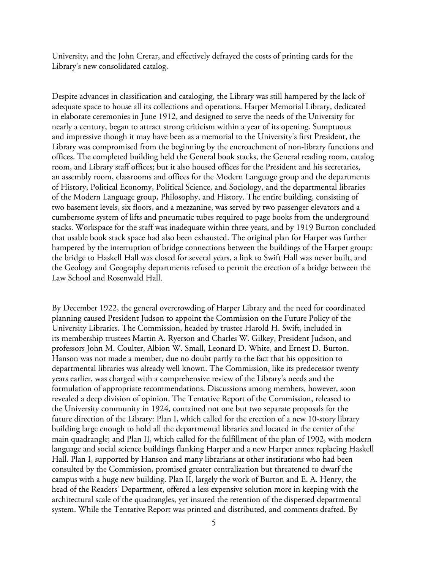University, and the John Crerar, and effectively defrayed the costs of printing cards for the Library's new consolidated catalog.

Despite advances in classification and cataloging, the Library was still hampered by the lack of adequate space to house all its collections and operations. Harper Memorial Library, dedicated in elaborate ceremonies in June 1912, and designed to serve the needs of the University for nearly a century, began to attract strong criticism within a year of its opening. Sumptuous and impressive though it may have been as a memorial to the University's first President, the Library was compromised from the beginning by the encroachment of non-library functions and offices. The completed building held the General book stacks, the General reading room, catalog room, and Library staff offices; but it also housed offices for the President and his secretaries, an assembly room, classrooms and offices for the Modern Language group and the departments of History, Political Economy, Political Science, and Sociology, and the departmental libraries of the Modern Language group, Philosophy, and History. The entire building, consisting of two basement levels, six floors, and a mezzanine, was served by two passenger elevators and a cumbersome system of lifts and pneumatic tubes required to page books from the underground stacks. Workspace for the staff was inadequate within three years, and by 1919 Burton concluded that usable book stack space had also been exhausted. The original plan for Harper was further hampered by the interruption of bridge connections between the buildings of the Harper group: the bridge to Haskell Hall was closed for several years, a link to Swift Hall was never built, and the Geology and Geography departments refused to permit the erection of a bridge between the Law School and Rosenwald Hall.

By December 1922, the general overcrowding of Harper Library and the need for coordinated planning caused President Judson to appoint the Commission on the Future Policy of the University Libraries. The Commission, headed by trustee Harold H. Swift, included in its membership trustees Martin A. Ryerson and Charles W. Gilkey, President Judson, and professors John M. Coulter, Albion W. Small, Leonard D. White, and Ernest D. Burton. Hanson was not made a member, due no doubt partly to the fact that his opposition to departmental libraries was already well known. The Commission, like its predecessor twenty years earlier, was charged with a comprehensive review of the Library's needs and the formulation of appropriate recommendations. Discussions among members, however, soon revealed a deep division of opinion. The Tentative Report of the Commission, released to the University community in 1924, contained not one but two separate proposals for the future direction of the Library: Plan I, which called for the erection of a new 10-story library building large enough to hold all the departmental libraries and located in the center of the main quadrangle; and Plan II, which called for the fulfillment of the plan of 1902, with modern language and social science buildings flanking Harper and a new Harper annex replacing Haskell Hall. Plan I, supported by Hanson and many librarians at other institutions who had been consulted by the Commission, promised greater centralization but threatened to dwarf the campus with a huge new building. Plan II, largely the work of Burton and E. A. Henry, the head of the Readers' Department, offered a less expensive solution more in keeping with the architectural scale of the quadrangles, yet insured the retention of the dispersed departmental system. While the Tentative Report was printed and distributed, and comments drafted. By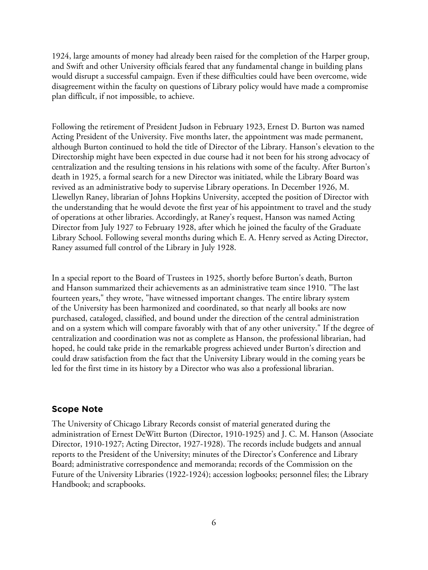1924, large amounts of money had already been raised for the completion of the Harper group, and Swift and other University officials feared that any fundamental change in building plans would disrupt a successful campaign. Even if these difficulties could have been overcome, wide disagreement within the faculty on questions of Library policy would have made a compromise plan difficult, if not impossible, to achieve.

Following the retirement of President Judson in February 1923, Ernest D. Burton was named Acting President of the University. Five months later, the appointment was made permanent, although Burton continued to hold the title of Director of the Library. Hanson's elevation to the Directorship might have been expected in due course had it not been for his strong advocacy of centralization and the resulting tensions in his relations with some of the faculty. After Burton's death in 1925, a formal search for a new Director was initiated, while the Library Board was revived as an administrative body to supervise Library operations. In December 1926, M. Llewellyn Raney, librarian of Johns Hopkins University, accepted the position of Director with the understanding that he would devote the first year of his appointment to travel and the study of operations at other libraries. Accordingly, at Raney's request, Hanson was named Acting Director from July 1927 to February 1928, after which he joined the faculty of the Graduate Library School. Following several months during which E. A. Henry served as Acting Director, Raney assumed full control of the Library in July 1928.

In a special report to the Board of Trustees in 1925, shortly before Burton's death, Burton and Hanson summarized their achievements as an administrative team since 1910. "The last fourteen years," they wrote, "have witnessed important changes. The entire library system of the University has been harmonized and coordinated, so that nearly all books are now purchased, cataloged, classified, and bound under the direction of the central administration and on a system which will compare favorably with that of any other university." If the degree of centralization and coordination was not as complete as Hanson, the professional librarian, had hoped, he could take pride in the remarkable progress achieved under Burton's direction and could draw satisfaction from the fact that the University Library would in the coming years be led for the first time in its history by a Director who was also a professional librarian.

#### **Scope Note**

The University of Chicago Library Records consist of material generated during the administration of Ernest DeWitt Burton (Director, 1910-1925) and J. C. M. Hanson (Associate Director, 1910-1927; Acting Director, 1927-1928). The records include budgets and annual reports to the President of the University; minutes of the Director's Conference and Library Board; administrative correspondence and memoranda; records of the Commission on the Future of the University Libraries (1922-1924); accession logbooks; personnel files; the Library Handbook; and scrapbooks.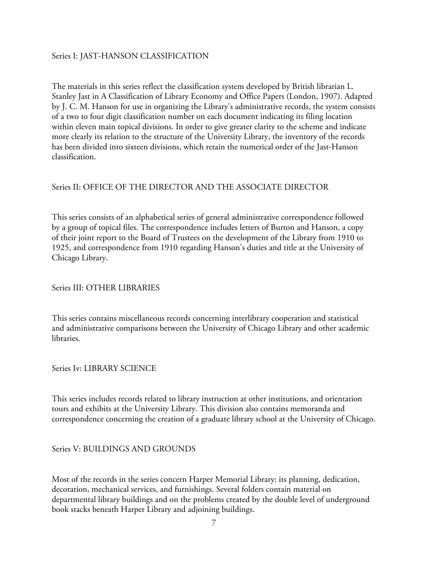### Series I: JAST-HANSON CLASSIFICATION

The materials in this series reflect the classification system developed by British librarian L. Stanley Jast in A Classification of Library Economy and Office Papers (London, 1907). Adapted by J. C. M. Hanson for use in organizing the Library's administrative records, the system consists of a two to four digit classification number on each document indicating its filing location within eleven main topical divisions. In order to give greater clarity to the scheme and indicate more clearly its relation to the structure of the University Library, the inventory of the records has been divided into sixteen divisions, which retain the numerical order of the Jast-Hanson classification.

#### Series II: OFFICE OF THE DIRECTOR AND THE ASSOCIATE DIRECTOR

This series consists of an alphabetical series of general administrative correspondence followed by a group of topical files. The correspondence includes letters of Burton and Hanson, a copy of their joint report to the Board of Trustees on the development of the Library from 1910 to 1925, and correspondence from 1910 regarding Hanson's duties and title at the University of Chicago Library.

Series III: OTHER LIBRARIES

This series contains miscellaneous records concerning interlibrary cooperation and statistical and administrative comparisons between the University of Chicago Library and other academic libraries.

Series Iv: LIBRARY SCIENCE

This series includes records related to library instruction at other institutions, and orientation tours and exhibits at the University Library. This division also contains memoranda and correspondence concerning the creation of a graduate library school at the University of Chicago.

Series V: BUILDINGS AND GROUNDS

Most of the records in the series concern Harper Memorial Library: its planning, dedication, decoration, mechanical services, and furnishings. Several folders contain material on departmental library buildings and on the problems created by the double level of underground book stacks beneath Harper Library and adjoining buildings.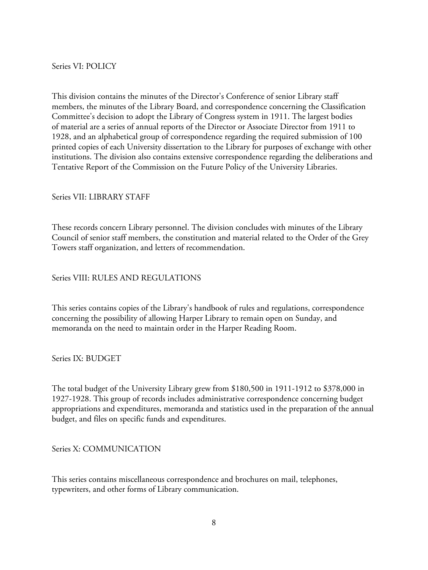Series VI: POLICY

This division contains the minutes of the Director's Conference of senior Library staff members, the minutes of the Library Board, and correspondence concerning the Classification Committee's decision to adopt the Library of Congress system in 1911. The largest bodies of material are a series of annual reports of the Director or Associate Director from 1911 to 1928, and an alphabetical group of correspondence regarding the required submission of 100 printed copies of each University dissertation to the Library for purposes of exchange with other institutions. The division also contains extensive correspondence regarding the deliberations and Tentative Report of the Commission on the Future Policy of the University Libraries.

# Series VII: LIBRARY STAFF

These records concern Library personnel. The division concludes with minutes of the Library Council of senior staff members, the constitution and material related to the Order of the Grey Towers staff organization, and letters of recommendation.

# Series VIII: RULES AND REGULATIONS

This series contains copies of the Library's handbook of rules and regulations, correspondence concerning the possibility of allowing Harper Library to remain open on Sunday, and memoranda on the need to maintain order in the Harper Reading Room.

Series IX: BUDGET

The total budget of the University Library grew from \$180,500 in 1911-1912 to \$378,000 in 1927-1928. This group of records includes administrative correspondence concerning budget appropriations and expenditures, memoranda and statistics used in the preparation of the annual budget, and files on specific funds and expenditures.

Series X: COMMUNICATION

This series contains miscellaneous correspondence and brochures on mail, telephones, typewriters, and other forms of Library communication.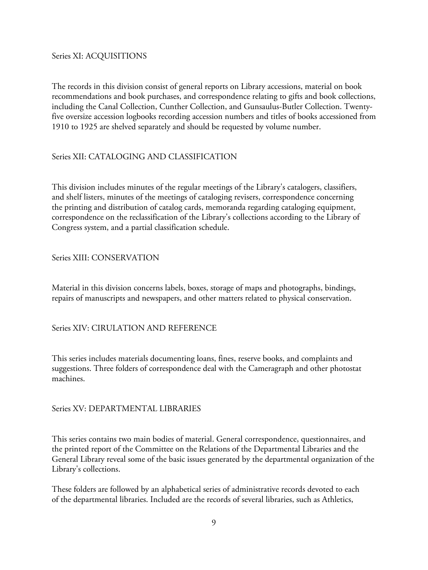Series XI: ACQUISITIONS

The records in this division consist of general reports on Library accessions, material on book recommendations and book purchases, and correspondence relating to gifts and book collections, including the Canal Collection, Cunther Collection, and Gunsaulus-Butler Collection. Twentyfive oversize accession logbooks recording accession numbers and titles of books accessioned from 1910 to 1925 are shelved separately and should be requested by volume number.

# Series XII: CATALOGING AND CLASSIFICATION

This division includes minutes of the regular meetings of the Library's catalogers, classifiers, and shelf listers, minutes of the meetings of cataloging revisers, correspondence concerning the printing and distribution of catalog cards, memoranda regarding cataloging equipment, correspondence on the reclassification of the Library's collections according to the Library of Congress system, and a partial classification schedule.

## Series XIII: CONSERVATION

Material in this division concerns labels, boxes, storage of maps and photographs, bindings, repairs of manuscripts and newspapers, and other matters related to physical conservation.

Series XIV: CIRULATION AND REFERENCE

This series includes materials documenting loans, fines, reserve books, and complaints and suggestions. Three folders of correspondence deal with the Cameragraph and other photostat machines.

## Series XV: DEPARTMENTAL LIBRARIES

This series contains two main bodies of material. General correspondence, questionnaires, and the printed report of the Committee on the Relations of the Departmental Libraries and the General Library reveal some of the basic issues generated by the departmental organization of the Library's collections.

These folders are followed by an alphabetical series of administrative records devoted to each of the departmental libraries. Included are the records of several libraries, such as Athletics,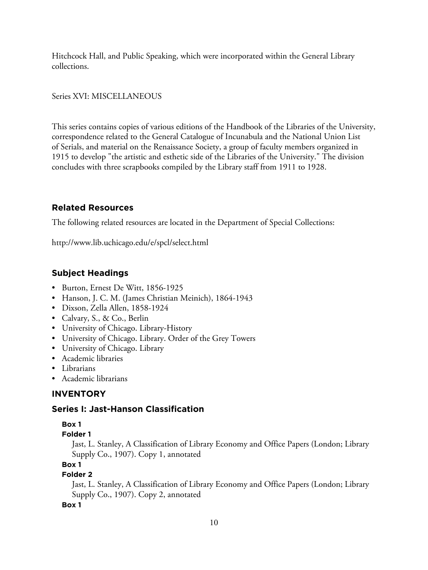Hitchcock Hall, and Public Speaking, which were incorporated within the General Library collections.

## Series XVI: MISCELLANEOUS

This series contains copies of various editions of the Handbook of the Libraries of the University, correspondence related to the General Catalogue of Incunabula and the National Union List of Serials, and material on the Renaissance Society, a group of faculty members organized in 1915 to develop "the artistic and esthetic side of the Libraries of the University." The division concludes with three scrapbooks compiled by the Library staff from 1911 to 1928.

# **Related Resources**

The following related resources are located in the Department of Special Collections:

http://www.lib.uchicago.edu/e/spcl/select.html

# **Subject Headings**

- Burton, Ernest De Witt, 1856-1925
- Hanson, J. C. M. (James Christian Meinich), 1864-1943
- Dixson, Zella Allen, 1858-1924
- Calvary, S., & Co., Berlin
- University of Chicago. Library-History
- University of Chicago. Library. Order of the Grey Towers
- University of Chicago. Library
- Academic libraries
- Librarians
- Academic librarians

# **INVENTORY**

# **Series I: Jast-Hanson Classification**

## **Box 1**

**Folder 1**

Jast, L. Stanley, A Classification of Library Economy and Office Papers (London; Library Supply Co., 1907). Copy 1, annotated

## **Box 1**

## **Folder 2**

Jast, L. Stanley, A Classification of Library Economy and Office Papers (London; Library Supply Co., 1907). Copy 2, annotated

**Box 1**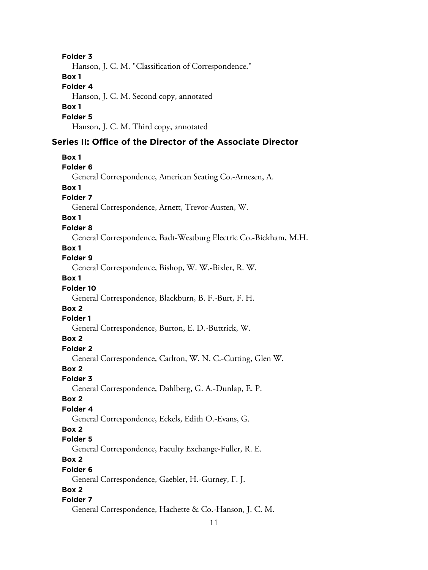11 **Folder 3** Hanson, J. C. M. "Classification of Correspondence." **Box 1 Folder 4** Hanson, J. C. M. Second copy, annotated **Box 1 Folder 5** Hanson, J. C. M. Third copy, annotated **Series II: Office of the Director of the Associate Director Box 1 Folder 6** General Correspondence, American Seating Co.-Arnesen, A. **Box 1 Folder 7** General Correspondence, Arnett, Trevor-Austen, W. **Box 1 Folder 8** General Correspondence, Badt-Westburg Electric Co.-Bickham, M.H. **Box 1 Folder 9** General Correspondence, Bishop, W. W.-Bixler, R. W. **Box 1 Folder 10** General Correspondence, Blackburn, B. F.-Burt, F. H. **Box 2 Folder 1** General Correspondence, Burton, E. D.-Buttrick, W. **Box 2 Folder 2** General Correspondence, Carlton, W. N. C.-Cutting, Glen W. **Box 2 Folder 3** General Correspondence, Dahlberg, G. A.-Dunlap, E. P. **Box 2 Folder 4** General Correspondence, Eckels, Edith O.-Evans, G. **Box 2 Folder 5** General Correspondence, Faculty Exchange-Fuller, R. E. **Box 2 Folder 6** General Correspondence, Gaebler, H.-Gurney, F. J. **Box 2 Folder 7** General Correspondence, Hachette & Co.-Hanson, J. C. M.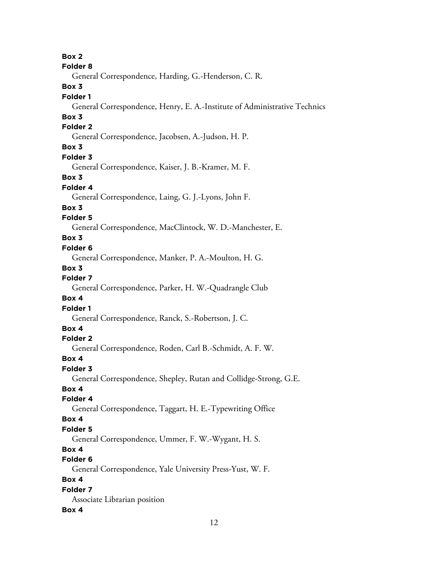**Box 2 Folder 8** General Correspondence, Harding, G.-Henderson, C. R. **Box 3 Folder 1** General Correspondence, Henry, E. A.-Institute of Administrative Technics **Box 3 Folder 2** General Correspondence, Jacobsen, A.-Judson, H. P. **Box 3 Folder 3** General Correspondence, Kaiser, J. B.-Kramer, M. F. **Box 3 Folder 4** General Correspondence, Laing, G. J.-Lyons, John F. **Box 3 Folder 5** General Correspondence, MacClintock, W. D.-Manchester, E. **Box 3 Folder 6** General Correspondence, Manker, P. A.-Moulton, H. G. **Box 3 Folder 7** General Correspondence, Parker, H. W.-Quadrangle Club **Box 4 Folder 1** General Correspondence, Ranck, S.-Robertson, J. C. **Box 4 Folder 2** General Correspondence, Roden, Carl B.-Schmidt, A. F. W. **Box 4 Folder 3** General Correspondence, Shepley, Rutan and Collidge-Strong, G.E. **Box 4 Folder 4** General Correspondence, Taggart, H. E.-Typewriting Office **Box 4 Folder 5** General Correspondence, Ummer, F. W.-Wygant, H. S. **Box 4 Folder 6** General Correspondence, Yale University Press-Yust, W. F. **Box 4 Folder 7** Associate Librarian position **Box 4**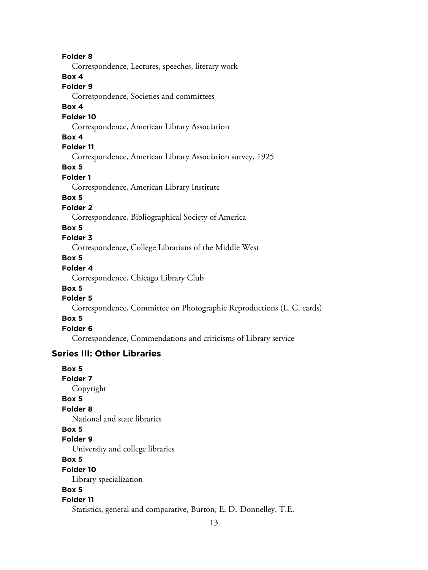**Folder 8** Correspondence, Lectures, speeches, literary work **Box 4 Folder 9** Correspondence, Societies and committees **Box 4 Folder 10** Correspondence, American Library Association **Box 4 Folder 11** Correspondence, American Library Association survey, 1925 **Box 5 Folder 1** Correspondence, American Library Institute **Box 5 Folder 2** Correspondence, Bibliographical Society of America **Box 5 Folder 3** Correspondence, College Librarians of the Middle West **Box 5 Folder 4** Correspondence, Chicago Library Club **Box 5 Folder 5** Correspondence, Committee on Photographic Reproductions (L. C. cards) **Box 5 Folder 6** Correspondence, Commendations and criticisms of Library service **Series III: Other Libraries Box 5 Folder 7** Copyright **Box 5 Folder 8** National and state libraries **Box 5 Folder 9** University and college libraries **Box 5 Folder 10** Library specialization **Box 5 Folder 11**

Statistics, general and comparative, Burton, E. D.-Donnelley, T.E.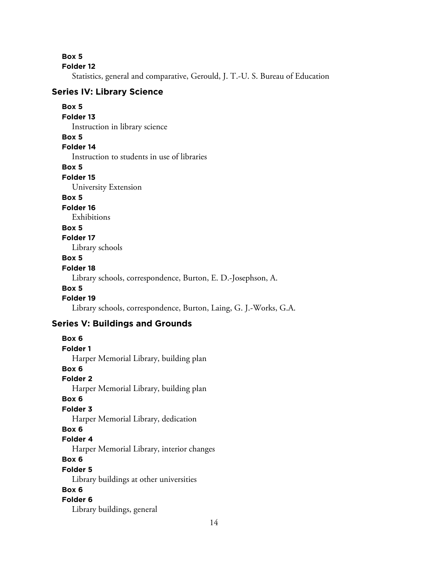**Box 5**

**Folder 12**

Statistics, general and comparative, Gerould, J. T.-U. S. Bureau of Education

## **Series IV: Library Science**

#### **Box 5 Folder 13**

Instruction in library science

## **Box 5**

**Folder 14**

Instruction to students in use of libraries

**Box 5**

**Folder 15**

University Extension

# **Box 5**

**Folder 16**

Exhibitions

## **Box 5**

#### **Folder 17**

Library schools

#### **Box 5**

#### **Folder 18**

Library schools, correspondence, Burton, E. D.-Josephson, A.

## **Box 5**

# **Folder 19**

Library schools, correspondence, Burton, Laing, G. J.-Works, G.A.

# **Series V: Buildings and Grounds**

**Box 6 Folder 1** Harper Memorial Library, building plan **Box 6 Folder 2** Harper Memorial Library, building plan **Box 6 Folder 3** Harper Memorial Library, dedication **Box 6 Folder 4** Harper Memorial Library, interior changes **Box 6 Folder 5** Library buildings at other universities **Box 6 Folder 6** Library buildings, general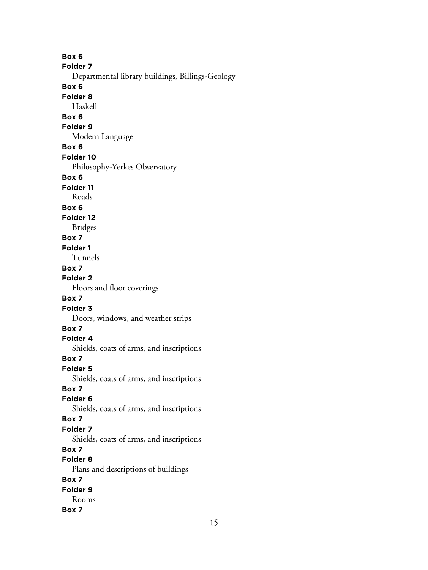**Box 6 Folder 7** Departmental library buildings, Billings-Geology **Box 6 Folder 8** Haskell **Box 6 Folder 9** Modern Language **Box 6 Folder 10** Philosophy-Yerkes Observatory **Box 6 Folder 11** Roads **Box 6 Folder 12** Bridges **Box 7 Folder 1** Tunnels **Box 7 Folder 2** Floors and floor coverings **Box 7 Folder 3** Doors, windows, and weather strips **Box 7 Folder 4** Shields, coats of arms, and inscriptions **Box 7 Folder 5** Shields, coats of arms, and inscriptions **Box 7 Folder 6** Shields, coats of arms, and inscriptions **Box 7 Folder 7** Shields, coats of arms, and inscriptions **Box 7 Folder 8** Plans and descriptions of buildings **Box 7 Folder 9** Rooms **Box 7**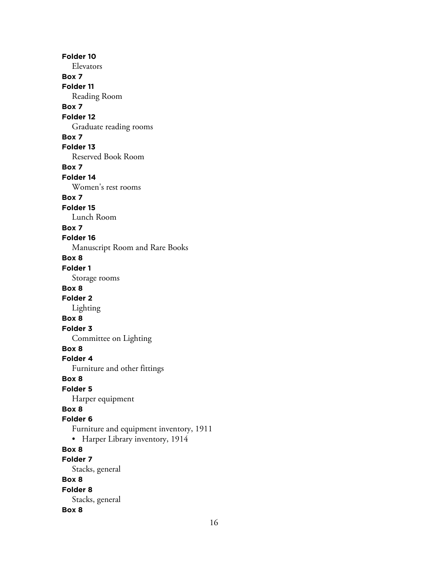**Folder 10** Elevators **Box 7 Folder 11** Reading Room **Box 7 Folder 12** Graduate reading rooms **Box 7 Folder 13** Reserved Book Room **Box 7 Folder 14** Women's rest rooms **Box 7 Folder 15** Lunch Room **Box 7 Folder 16** Manuscript Room and Rare Books **Box 8 Folder 1** Storage rooms **Box 8 Folder 2** Lighting **Box 8 Folder 3** Committee on Lighting **Box 8 Folder 4** Furniture and other fittings **Box 8 Folder 5** Harper equipment **Box 8 Folder 6** Furniture and equipment inventory, 1911 • Harper Library inventory, 1914 **Box 8 Folder 7** Stacks, general **Box 8 Folder 8** Stacks, general **Box 8**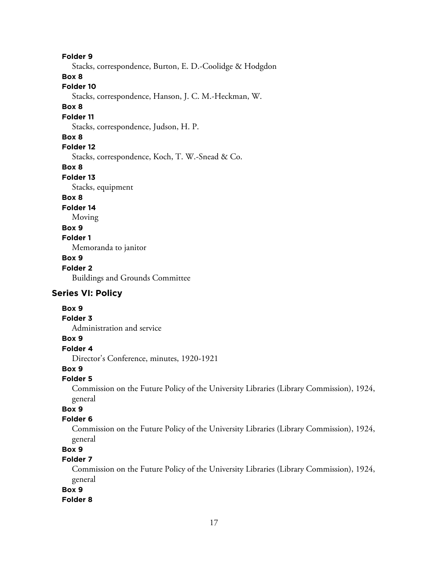**Folder 9**

Stacks, correspondence, Burton, E. D.-Coolidge & Hodgdon

#### **Box 8**

# **Folder 10**

Stacks, correspondence, Hanson, J. C. M.-Heckman, W.

#### **Box 8**

# **Folder 11**

Stacks, correspondence, Judson, H. P.

#### **Box 8**

**Folder 12**

Stacks, correspondence, Koch, T. W.-Snead & Co.

#### **Box 8**

#### **Folder 13**

Stacks, equipment

# **Box 8**

## **Folder 14**

Moving

# **Box 9**

**Folder 1**

Memoranda to janitor

# **Box 9**

# **Folder 2**

Buildings and Grounds Committee

# **Series VI: Policy**

# **Box 9**

#### **Folder 3**

Administration and service

# **Box 9**

# **Folder 4**

Director's Conference, minutes, 1920-1921

# **Box 9**

#### **Folder 5**

Commission on the Future Policy of the University Libraries (Library Commission), 1924, general

# **Box 9**

#### **Folder 6**

Commission on the Future Policy of the University Libraries (Library Commission), 1924, general

# **Box 9**

# **Folder 7**

Commission on the Future Policy of the University Libraries (Library Commission), 1924, general

# **Box 9**

#### **Folder 8**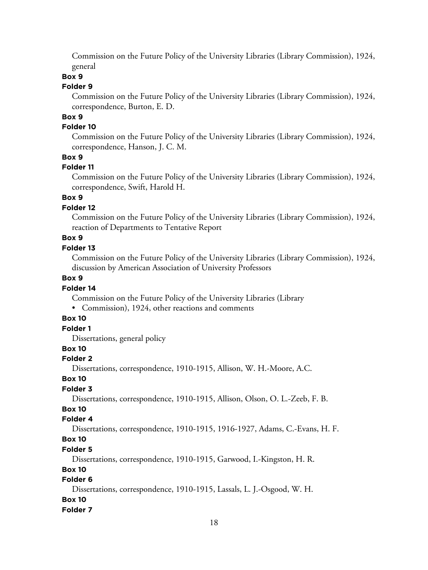Commission on the Future Policy of the University Libraries (Library Commission), 1924, general

#### **Box 9**

#### **Folder 9**

Commission on the Future Policy of the University Libraries (Library Commission), 1924, correspondence, Burton, E. D.

# **Box 9**

#### **Folder 10**

Commission on the Future Policy of the University Libraries (Library Commission), 1924, correspondence, Hanson, J. C. M.

#### **Box 9**

#### **Folder 11**

Commission on the Future Policy of the University Libraries (Library Commission), 1924, correspondence, Swift, Harold H.

### **Box 9**

#### **Folder 12**

Commission on the Future Policy of the University Libraries (Library Commission), 1924, reaction of Departments to Tentative Report

# **Box 9**

#### **Folder 13**

Commission on the Future Policy of the University Libraries (Library Commission), 1924, discussion by American Association of University Professors

## **Box 9**

#### **Folder 14**

Commission on the Future Policy of the University Libraries (Library

• Commission), 1924, other reactions and comments

#### **Box 10**

# **Folder 1**

Dissertations, general policy

#### **Box 10**

#### **Folder 2**

Dissertations, correspondence, 1910-1915, Allison, W. H.-Moore, A.C.

#### **Box 10**

#### **Folder 3**

Dissertations, correspondence, 1910-1915, Allison, Olson, O. L.-Zeeb, F. B.

# **Box 10**

# **Folder 4**

Dissertations, correspondence, 1910-1915, 1916-1927, Adams, C.-Evans, H. F.

# **Box 10**

#### **Folder 5**

Dissertations, correspondence, 1910-1915, Garwood, I.-Kingston, H. R.

# **Box 10**

# **Folder 6**

Dissertations, correspondence, 1910-1915, Lassals, L. J.-Osgood, W. H.

#### **Box 10**

#### **Folder 7**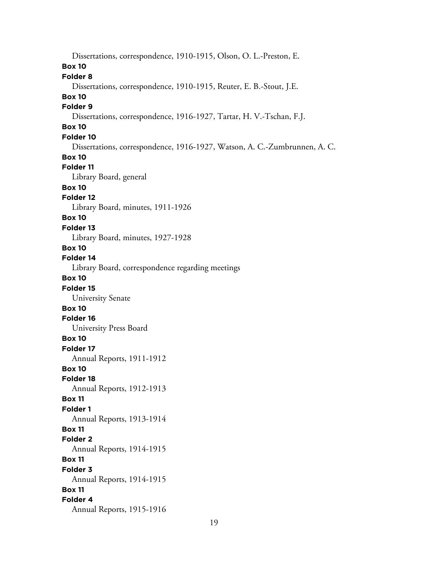Dissertations, correspondence, 1910-1915, Olson, O. L.-Preston, E. **Box 10 Folder 8** Dissertations, correspondence, 1910-1915, Reuter, E. B.-Stout, J.E. **Box 10 Folder 9** Dissertations, correspondence, 1916-1927, Tartar, H. V.-Tschan, F.J. **Box 10 Folder 10** Dissertations, correspondence, 1916-1927, Watson, A. C.-Zumbrunnen, A. C. **Box 10 Folder 11** Library Board, general **Box 10 Folder 12** Library Board, minutes, 1911-1926 **Box 10 Folder 13** Library Board, minutes, 1927-1928 **Box 10 Folder 14** Library Board, correspondence regarding meetings **Box 10 Folder 15** University Senate **Box 10 Folder 16** University Press Board **Box 10 Folder 17** Annual Reports, 1911-1912 **Box 10 Folder 18** Annual Reports, 1912-1913 **Box 11 Folder 1** Annual Reports, 1913-1914 **Box 11 Folder 2** Annual Reports, 1914-1915 **Box 11 Folder 3** Annual Reports, 1914-1915 **Box 11 Folder 4** Annual Reports, 1915-1916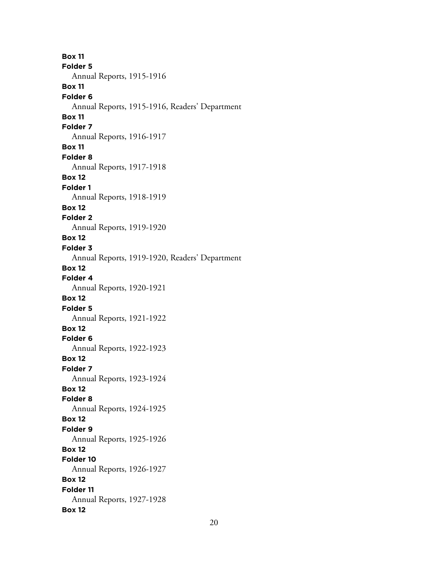**Box 11 Folder 5** Annual Reports, 1915-1916 **Box 11 Folder 6** Annual Reports, 1915-1916, Readers' Department **Box 11 Folder 7** Annual Reports, 1916-1917 **Box 11 Folder 8** Annual Reports, 1917-1918 **Box 12 Folder 1** Annual Reports, 1918-1919 **Box 12 Folder 2** Annual Reports, 1919-1920 **Box 12 Folder 3** Annual Reports, 1919-1920, Readers' Department **Box 12 Folder 4** Annual Reports, 1920-1921 **Box 12 Folder 5** Annual Reports, 1921-1922 **Box 12 Folder 6** Annual Reports, 1922-1923 **Box 12 Folder 7** Annual Reports, 1923-1924 **Box 12 Folder 8** Annual Reports, 1924-1925 **Box 12 Folder 9** Annual Reports, 1925-1926 **Box 12 Folder 10** Annual Reports, 1926-1927 **Box 12 Folder 11** Annual Reports, 1927-1928 **Box 12**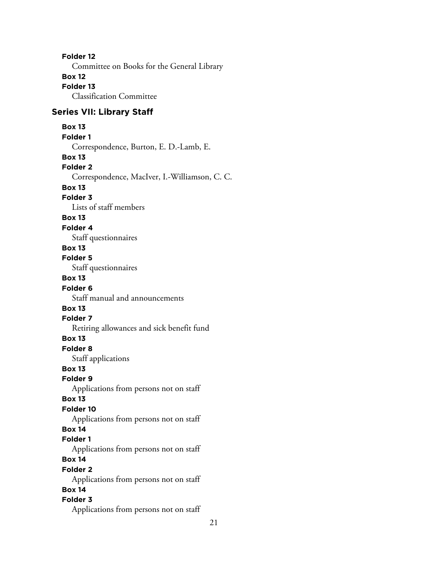**Folder 12** Committee on Books for the General Library **Box 12 Folder 13** Classification Committee **Series VII: Library Staff Box 13 Folder 1** Correspondence, Burton, E. D.-Lamb, E. **Box 13 Folder 2** Correspondence, MacIver, I.-Williamson, C. C. **Box 13 Folder 3** Lists of staff members **Box 13 Folder 4** Staff questionnaires **Box 13 Folder 5** Staff questionnaires **Box 13 Folder 6** Staff manual and announcements **Box 13 Folder 7** Retiring allowances and sick benefit fund **Box 13 Folder 8** Staff applications **Box 13 Folder 9** Applications from persons not on staff **Box 13 Folder 10** Applications from persons not on staff **Box 14 Folder 1** Applications from persons not on staff **Box 14 Folder 2** Applications from persons not on staff **Box 14 Folder 3** Applications from persons not on staff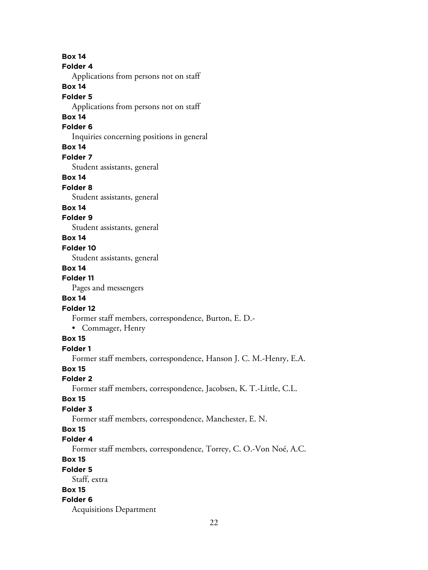**Box 14 Folder 4** Applications from persons not on staff **Box 14 Folder 5** Applications from persons not on staff **Box 14 Folder 6** Inquiries concerning positions in general **Box 14 Folder 7** Student assistants, general **Box 14 Folder 8** Student assistants, general **Box 14 Folder 9** Student assistants, general **Box 14 Folder 10** Student assistants, general **Box 14 Folder 11** Pages and messengers **Box 14 Folder 12** Former staff members, correspondence, Burton, E. D.- • Commager, Henry **Box 15 Folder 1** Former staff members, correspondence, Hanson J. C. M.-Henry, E.A. **Box 15 Folder 2** Former staff members, correspondence, Jacobsen, K. T.-Little, C.L. **Box 15 Folder 3** Former staff members, correspondence, Manchester, E. N. **Box 15 Folder 4** Former staff members, correspondence, Torrey, C. O.-Von Noé, A.C. **Box 15 Folder 5** Staff, extra **Box 15 Folder 6** Acquisitions Department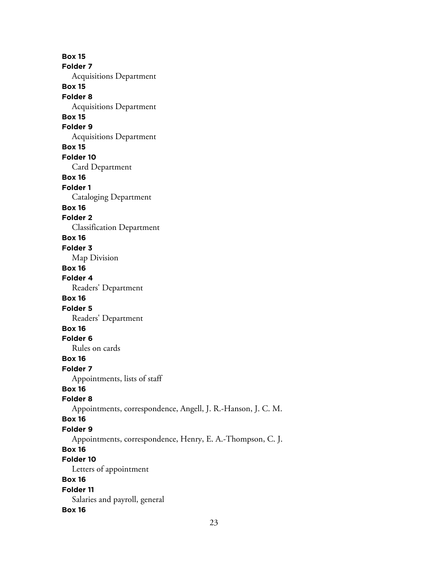**Box 15 Folder 7** Acquisitions Department **Box 15 Folder 8** Acquisitions Department **Box 15 Folder 9** Acquisitions Department **Box 15 Folder 10** Card Department **Box 16 Folder 1** Cataloging Department **Box 16 Folder 2** Classification Department **Box 16 Folder 3** Map Division **Box 16 Folder 4** Readers' Department **Box 16 Folder 5** Readers' Department **Box 16 Folder 6** Rules on cards **Box 16 Folder 7** Appointments, lists of staff **Box 16 Folder 8** Appointments, correspondence, Angell, J. R.-Hanson, J. C. M. **Box 16 Folder 9** Appointments, correspondence, Henry, E. A.-Thompson, C. J. **Box 16 Folder 10** Letters of appointment **Box 16 Folder 11** Salaries and payroll, general **Box 16**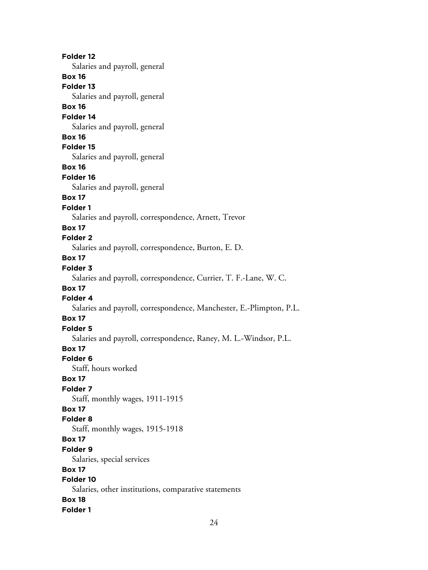**Folder 12** Salaries and payroll, general **Box 16 Folder 13** Salaries and payroll, general **Box 16 Folder 14** Salaries and payroll, general **Box 16 Folder 15** Salaries and payroll, general **Box 16 Folder 16** Salaries and payroll, general **Box 17 Folder 1** Salaries and payroll, correspondence, Arnett, Trevor **Box 17 Folder 2** Salaries and payroll, correspondence, Burton, E. D. **Box 17 Folder 3** Salaries and payroll, correspondence, Currier, T. F.-Lane, W. C. **Box 17 Folder 4** Salaries and payroll, correspondence, Manchester, E.-Plimpton, P.L. **Box 17 Folder 5** Salaries and payroll, correspondence, Raney, M. L.-Windsor, P.L. **Box 17 Folder 6** Staff, hours worked **Box 17 Folder 7** Staff, monthly wages, 1911-1915 **Box 17 Folder 8** Staff, monthly wages, 1915-1918 **Box 17 Folder 9** Salaries, special services **Box 17 Folder 10** Salaries, other institutions, comparative statements **Box 18 Folder 1**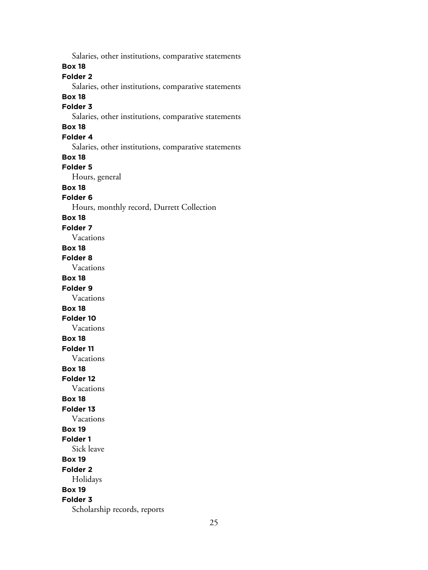Salaries, other institutions, comparative statements **Box 18 Folder 2** Salaries, other institutions, comparative statements **Box 18 Folder 3** Salaries, other institutions, comparative statements **Box 18 Folder 4** Salaries, other institutions, comparative statements **Box 18 Folder 5** Hours, general **Box 18 Folder 6** Hours, monthly record, Durrett Collection **Box 18 Folder 7** Vacations **Box 18 Folder 8** Vacations **Box 18 Folder 9** Vacations **Box 18 Folder 10** Vacations **Box 18 Folder 11** Vacations **Box 18 Folder 12** Vacations **Box 18 Folder 13** Vacations **Box 19 Folder 1** Sick leave **Box 19 Folder 2** Holidays **Box 19 Folder 3** Scholarship records, reports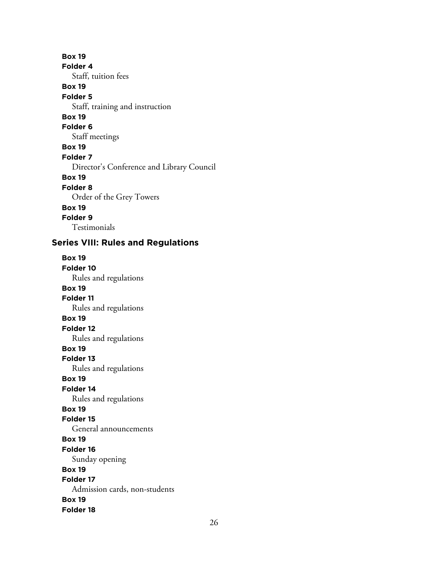**Box 19 Folder 4** Staff, tuition fees **Box 19 Folder 5** Staff, training and instruction **Box 19 Folder 6** Staff meetings **Box 19 Folder 7** Director's Conference and Library Council **Box 19 Folder 8** Order of the Grey Towers **Box 19 Folder 9** Testimonials

# **Series VIII: Rules and Regulations**

**Box 19 Folder 10** Rules and regulations **Box 19 Folder 11** Rules and regulations **Box 19 Folder 12** Rules and regulations **Box 19 Folder 13** Rules and regulations **Box 19 Folder 14** Rules and regulations **Box 19 Folder 15** General announcements **Box 19 Folder 16** Sunday opening **Box 19 Folder 17** Admission cards, non-students **Box 19 Folder 18**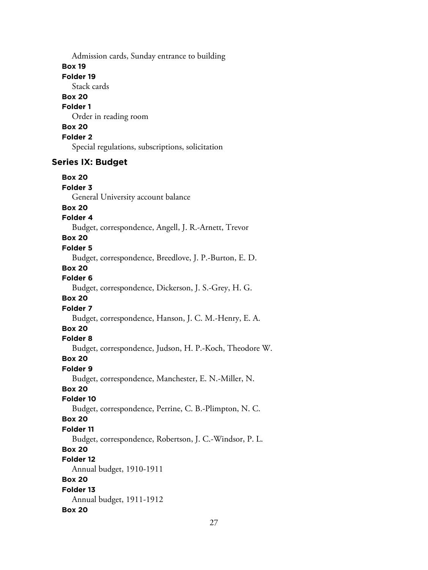Admission cards, Sunday entrance to building

#### **Box 19**

**Folder 19**

Stack cards

# **Box 20**

**Folder 1**

Order in reading room

# **Box 20**

**Folder 2**

Special regulations, subscriptions, solicitation

# **Series IX: Budget**

**Box 20 Folder 3** General University account balance **Box 20 Folder 4** Budget, correspondence, Angell, J. R.-Arnett, Trevor **Box 20 Folder 5** Budget, correspondence, Breedlove, J. P.-Burton, E. D. **Box 20 Folder 6** Budget, correspondence, Dickerson, J. S.-Grey, H. G. **Box 20 Folder 7** Budget, correspondence, Hanson, J. C. M.-Henry, E. A. **Box 20 Folder 8** Budget, correspondence, Judson, H. P.-Koch, Theodore W. **Box 20 Folder 9** Budget, correspondence, Manchester, E. N.-Miller, N. **Box 20 Folder 10** Budget, correspondence, Perrine, C. B.-Plimpton, N. C. **Box 20 Folder 11** Budget, correspondence, Robertson, J. C.-Windsor, P. L. **Box 20 Folder 12** Annual budget, 1910-1911 **Box 20 Folder 13** Annual budget, 1911-1912 **Box 20**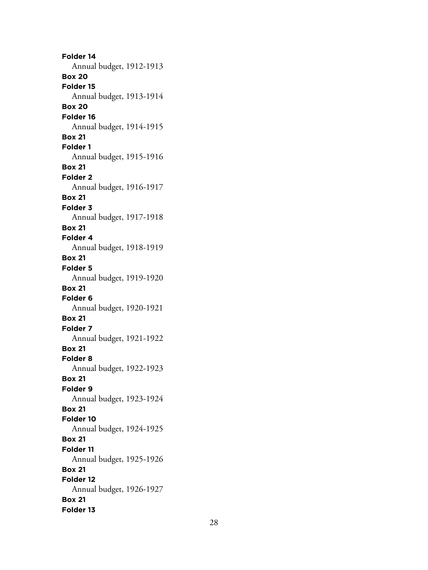**Folder 14** Annual budget, 1912-1913 **Box 20 Folder 15** Annual budget, 1913-1914 **Box 20 Folder 16** Annual budget, 1914-1915 **Box 21 Folder 1** Annual budget, 1915-1916 **Box 21 Folder 2** Annual budget, 1916-1917 **Box 21 Folder 3** Annual budget, 1917-1918 **Box 21 Folder 4** Annual budget, 1918-1919 **Box 21 Folder 5** Annual budget, 1919-1920 **Box 21 Folder 6** Annual budget, 1920-1921 **Box 21 Folder 7** Annual budget, 1921-1922 **Box 21 Folder 8** Annual budget, 1922-1923 **Box 21 Folder 9** Annual budget, 1923-1924 **Box 21 Folder 10** Annual budget, 1924-1925 **Box 21 Folder 11** Annual budget, 1925-1926 **Box 21 Folder 12** Annual budget, 1926-1927 **Box 21 Folder 13**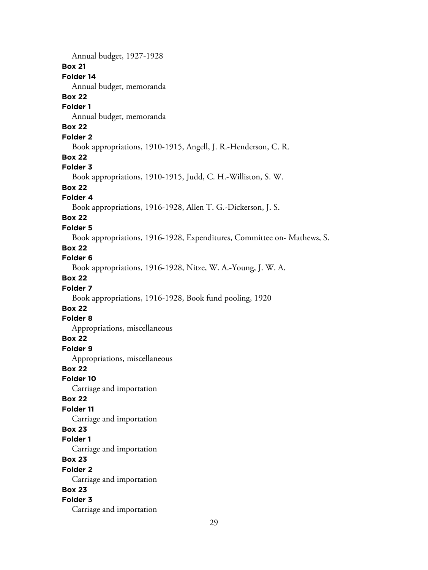Annual budget, 1927-1928 **Box 21 Folder 14** Annual budget, memoranda **Box 22 Folder 1** Annual budget, memoranda **Box 22 Folder 2** Book appropriations, 1910-1915, Angell, J. R.-Henderson, C. R. **Box 22 Folder 3** Book appropriations, 1910-1915, Judd, C. H.-Williston, S. W. **Box 22 Folder 4** Book appropriations, 1916-1928, Allen T. G.-Dickerson, J. S. **Box 22 Folder 5** Book appropriations, 1916-1928, Expenditures, Committee on- Mathews, S. **Box 22 Folder 6** Book appropriations, 1916-1928, Nitze, W. A.-Young, J. W. A. **Box 22 Folder 7** Book appropriations, 1916-1928, Book fund pooling, 1920 **Box 22 Folder 8** Appropriations, miscellaneous **Box 22 Folder 9** Appropriations, miscellaneous **Box 22 Folder 10** Carriage and importation **Box 22 Folder 11** Carriage and importation **Box 23 Folder 1** Carriage and importation **Box 23 Folder 2** Carriage and importation **Box 23 Folder 3** Carriage and importation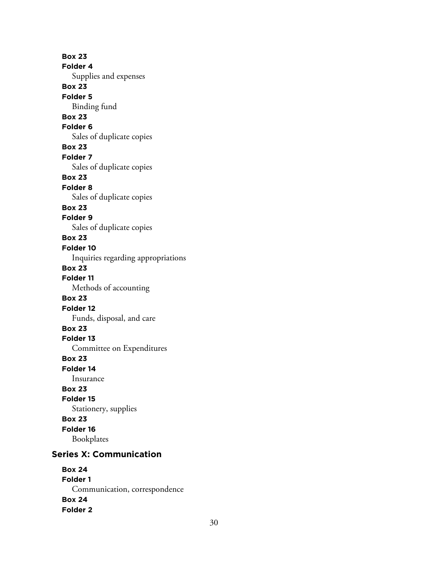**Box 23 Folder 4** Supplies and expenses **Box 23 Folder 5** Binding fund **Box 23 Folder 6** Sales of duplicate copies **Box 23 Folder 7** Sales of duplicate copies **Box 23 Folder 8** Sales of duplicate copies **Box 23 Folder 9** Sales of duplicate copies **Box 23 Folder 10** Inquiries regarding appropriations **Box 23 Folder 11** Methods of accounting **Box 23 Folder 12** Funds, disposal, and care **Box 23 Folder 13** Committee on Expenditures **Box 23 Folder 14** Insurance **Box 23 Folder 15** Stationery, supplies **Box 23 Folder 16** Bookplates

# **Series X: Communication**

**Box 24 Folder 1** Communication, correspondence **Box 24 Folder 2**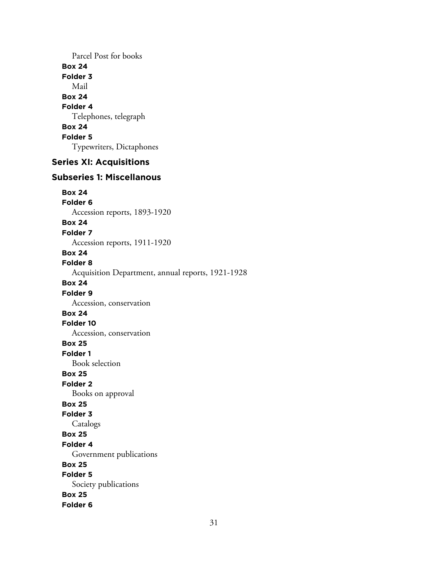Parcel Post for books **Box 24 Folder 3** Mail **Box 24 Folder 4** Telephones, telegraph **Box 24 Folder 5** Typewriters, Dictaphones

# **Series XI: Acquisitions**

# **Subseries 1: Miscellanous**

**Box 24 Folder 6**

Accession reports, 1893-1920

#### **Box 24**

**Folder 7**

Accession reports, 1911-1920

#### **Box 24**

**Folder 8**

Acquisition Department, annual reports, 1921-1928

#### **Box 24**

#### **Folder 9**

Accession, conservation

# **Box 24**

**Folder 10**

Accession, conservation

# **Box 25**

**Folder 1**

Book selection

# **Box 25**

**Folder 2** Books on approval

# **Box 25**

# **Folder 3**

Catalogs

## **Box 25**

#### **Folder 4**

Government publications

# **Box 25**

**Folder 5**

# Society publications

**Box 25**

# **Folder 6**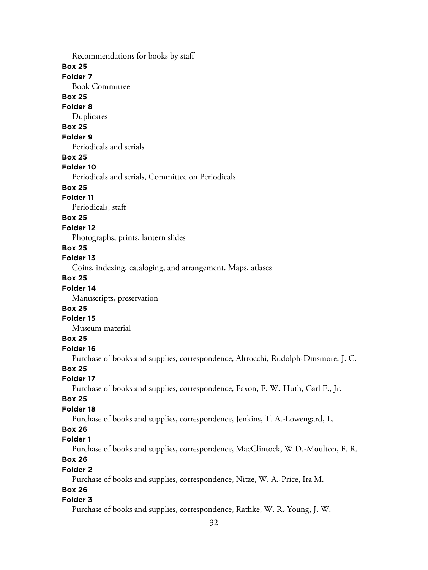Recommendations for books by staff

#### **Box 25**

**Folder 7**

Book Committee

# **Box 25**

**Folder 8**

Duplicates

# **Box 25**

#### **Folder 9**

Periodicals and serials

# **Box 25**

#### **Folder 10**

Periodicals and serials, Committee on Periodicals

# **Box 25**

#### **Folder 11**

Periodicals, staff

# **Box 25**

#### **Folder 12**

Photographs, prints, lantern slides

# **Box 25**

# **Folder 13**

Coins, indexing, cataloging, and arrangement. Maps, atlases

# **Box 25**

# **Folder 14**

Manuscripts, preservation

# **Box 25**

# **Folder 15**

Museum material

# **Box 25**

# **Folder 16**

Purchase of books and supplies, correspondence, Altrocchi, Rudolph-Dinsmore, J. C.

# **Box 25**

#### **Folder 17**

Purchase of books and supplies, correspondence, Faxon, F. W.-Huth, Carl F., Jr.

#### **Box 25**

#### **Folder 18**

Purchase of books and supplies, correspondence, Jenkins, T. A.-Lowengard, L.

# **Box 26**

# **Folder 1**

Purchase of books and supplies, correspondence, MacClintock, W.D.-Moulton, F. R.

# **Box 26**

#### **Folder 2**

Purchase of books and supplies, correspondence, Nitze, W. A.-Price, Ira M.

# **Box 26**

#### **Folder 3**

Purchase of books and supplies, correspondence, Rathke, W. R.-Young, J. W.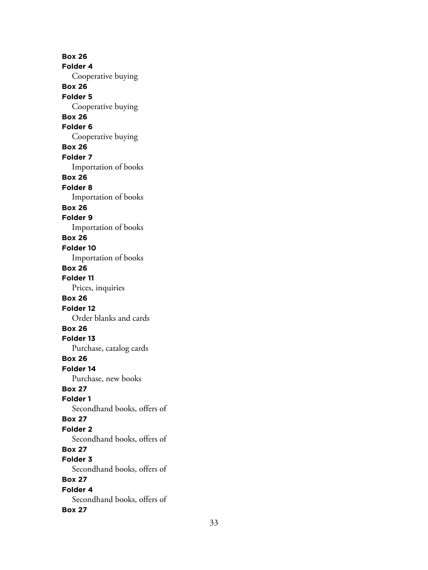**Box 26 Folder 4** Cooperative buying **Box 26 Folder 5** Cooperative buying **Box 26 Folder 6** Cooperative buying **Box 26 Folder 7** Importation of books **Box 26 Folder 8** Importation of books **Box 26 Folder 9** Importation of books **Box 26 Folder 10** Importation of books **Box 26 Folder 11** Prices, inquiries **Box 26 Folder 12** Order blanks and cards **Box 26 Folder 13** Purchase, catalog cards **Box 26 Folder 14** Purchase, new books **Box 27 Folder 1** Secondhand books, offers of **Box 27 Folder 2** Secondhand books, offers of **Box 27 Folder 3** Secondhand books, offers of **Box 27 Folder 4** Secondhand books, offers of **Box 27**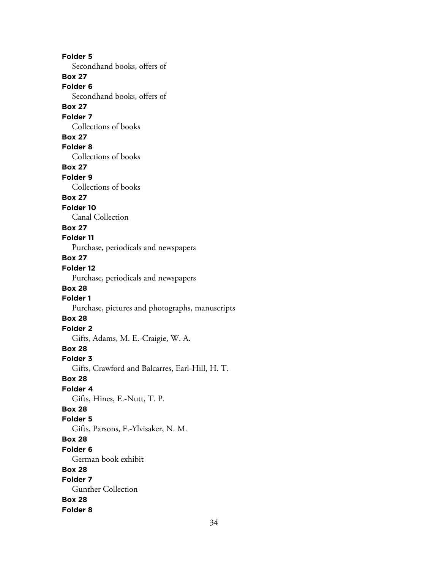**Folder 5** Secondhand books, offers of **Box 27 Folder 6** Secondhand books, offers of **Box 27 Folder 7** Collections of books **Box 27 Folder 8** Collections of books **Box 27 Folder 9** Collections of books **Box 27 Folder 10** Canal Collection **Box 27 Folder 11** Purchase, periodicals and newspapers **Box 27 Folder 12** Purchase, periodicals and newspapers **Box 28 Folder 1** Purchase, pictures and photographs, manuscripts **Box 28 Folder 2** Gifts, Adams, M. E.-Craigie, W. A. **Box 28 Folder 3** Gifts, Crawford and Balcarres, Earl-Hill, H. T. **Box 28 Folder 4** Gifts, Hines, E.-Nutt, T. P. **Box 28 Folder 5** Gifts, Parsons, F.-Ylvisaker, N. M. **Box 28 Folder 6** German book exhibit **Box 28 Folder 7** Gunther Collection **Box 28 Folder 8**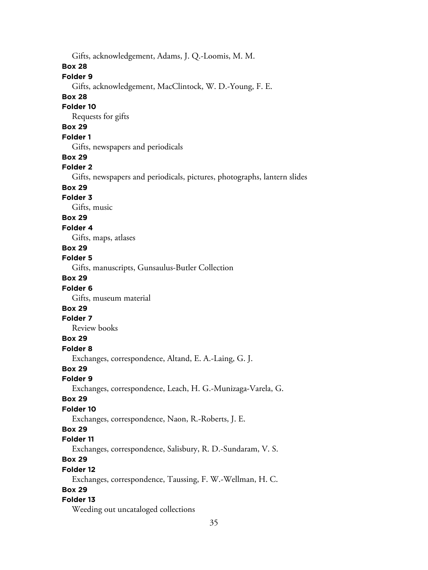Gifts, acknowledgement, Adams, J. Q.-Loomis, M. M.

#### **Box 28**

# **Folder 9**

Gifts, acknowledgement, MacClintock, W. D.-Young, F. E.

# **Box 28**

#### **Folder 10**

Requests for gifts

# **Box 29**

# **Folder 1**

Gifts, newspapers and periodicals

## **Box 29**

# **Folder 2**

Gifts, newspapers and periodicals, pictures, photographs, lantern slides

# **Box 29**

## **Folder 3**

Gifts, music

# **Box 29**

## **Folder 4**

Gifts, maps, atlases

# **Box 29**

## **Folder 5**

Gifts, manuscripts, Gunsaulus-Butler Collection

# **Box 29**

## **Folder 6**

Gifts, museum material

# **Box 29**

#### **Folder 7**

Review books

# **Box 29**

#### **Folder 8**

Exchanges, correspondence, Altand, E. A.-Laing, G. J.

# **Box 29**

**Folder 9**

Exchanges, correspondence, Leach, H. G.-Munizaga-Varela, G.

## **Box 29**

# **Folder 10**

Exchanges, correspondence, Naon, R.-Roberts, J. E.

# **Box 29**

# **Folder 11**

Exchanges, correspondence, Salisbury, R. D.-Sundaram, V. S.

# **Box 29**

## **Folder 12**

Exchanges, correspondence, Taussing, F. W.-Wellman, H. C.

# **Box 29**

# **Folder 13**

Weeding out uncataloged collections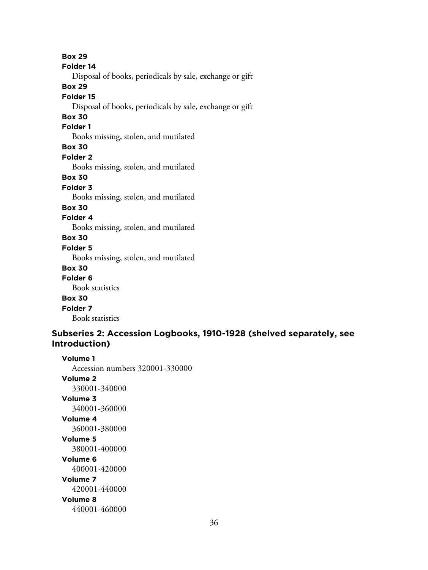**Box 29 Folder 14** Disposal of books, periodicals by sale, exchange or gift **Box 29 Folder 15** Disposal of books, periodicals by sale, exchange or gift **Box 30 Folder 1** Books missing, stolen, and mutilated **Box 30 Folder 2** Books missing, stolen, and mutilated **Box 30 Folder 3** Books missing, stolen, and mutilated **Box 30 Folder 4** Books missing, stolen, and mutilated **Box 30 Folder 5** Books missing, stolen, and mutilated **Box 30 Folder 6** Book statistics **Box 30 Folder 7** Book statistics

# **Subseries 2: Accession Logbooks, 1910-1928 (shelved separately, see Introduction)**

**Volume 1** Accession numbers 320001-330000 **Volume 2** 330001-340000 **Volume 3** 340001-360000 **Volume 4** 360001-380000 **Volume 5** 380001-400000 **Volume 6** 400001-420000 **Volume 7** 420001-440000 **Volume 8** 440001-460000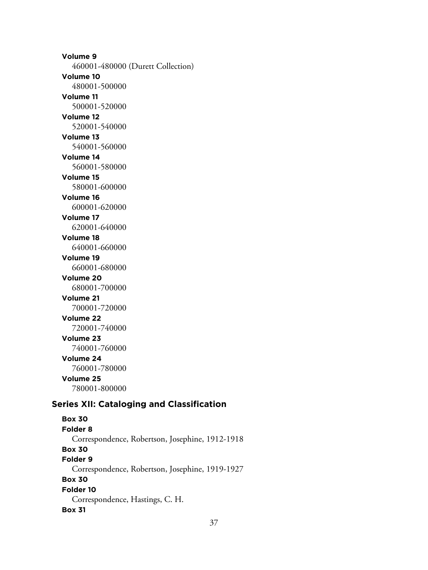**Volume 9** 460001-480000 (Durett Collection) **Volume 10** 480001-500000 **Volume 11** 500001-520000 **Volume 12** 520001-540000 **Volume 13** 540001-560000 **Volume 14** 560001-580000 **Volume 15** 580001-600000 **Volume 16** 600001-620000 **Volume 17** 620001-640000 **Volume 18** 640001-660000 **Volume 19** 660001-680000 **Volume 20** 680001-700000 **Volume 21** 700001-720000 **Volume 22** 720001-740000 **Volume 23** 740001-760000 **Volume 24** 760001-780000 **Volume 25** 780001-800000 **Series XII: Cataloging and Classification**

**Box 30 Folder 8** Correspondence, Robertson, Josephine, 1912-1918 **Box 30 Folder 9** Correspondence, Robertson, Josephine, 1919-1927 **Box 30 Folder 10** Correspondence, Hastings, C. H. **Box 31**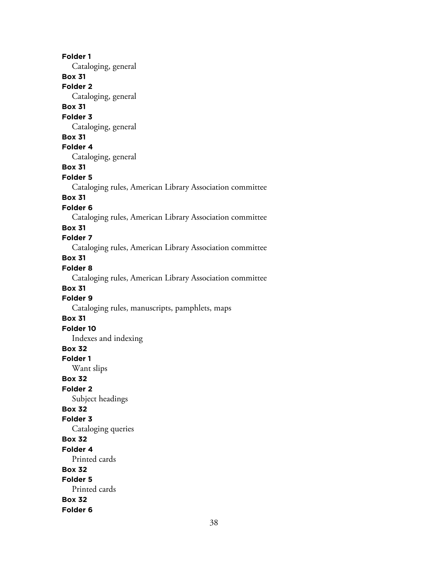**Folder 1** Cataloging, general **Box 31 Folder 2** Cataloging, general **Box 31 Folder 3** Cataloging, general **Box 31 Folder 4** Cataloging, general **Box 31 Folder 5** Cataloging rules, American Library Association committee **Box 31 Folder 6** Cataloging rules, American Library Association committee **Box 31 Folder 7** Cataloging rules, American Library Association committee **Box 31 Folder 8** Cataloging rules, American Library Association committee **Box 31 Folder 9** Cataloging rules, manuscripts, pamphlets, maps **Box 31 Folder 10** Indexes and indexing **Box 32 Folder 1** Want slips **Box 32 Folder 2** Subject headings **Box 32 Folder 3** Cataloging queries **Box 32 Folder 4** Printed cards **Box 32 Folder 5** Printed cards **Box 32 Folder 6**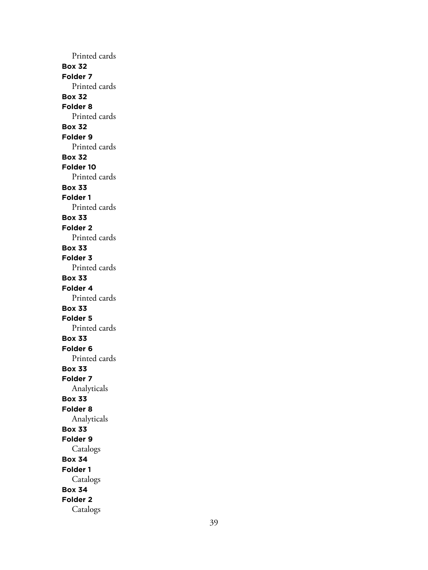Printed cards **Box 32 Folder 7** Printed cards **Box 32 Folder 8** Printed cards **Box 32 Folder 9** Printed cards **Box 32 Folder 10** Printed cards **Box 33 Folder 1** Printed cards **Box 33 Folder 2** Printed cards **Box 33 Folder 3** Printed cards **Box 33 Folder 4** Printed cards **Box 33 Folder 5** Printed cards **Box 33 Folder 6** Printed cards **Box 33 Folder 7** Analyticals **Box 33 Folder 8** Analyticals **Box 33 Folder 9** Catalogs **Box 34 Folder 1** Catalogs **Box 34 Folder 2** Catalogs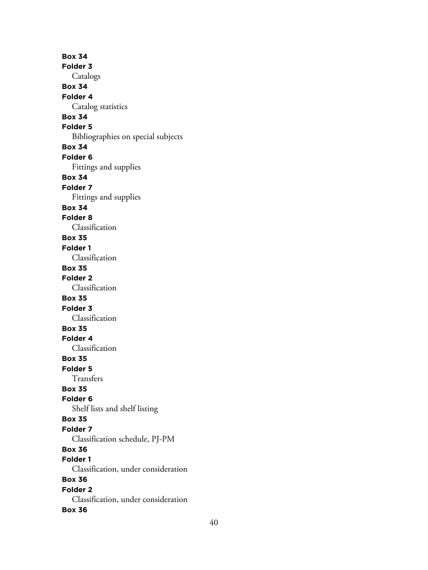**Box 34 Folder 3** Catalogs **Box 34 Folder 4** Catalog statistics **Box 34 Folder 5** Bibliographies on special subjects **Box 34 Folder 6** Fittings and supplies **Box 34 Folder 7** Fittings and supplies **Box 34 Folder 8** Classification **Box 35 Folder 1** Classification **Box 35 Folder 2** Classification **Box 35 Folder 3** Classification **Box 35 Folder 4** Classification **Box 35 Folder 5** Transfers **Box 35 Folder 6** Shelf lists and shelf listing **Box 35 Folder 7** Classification schedule, PJ-PM **Box 36 Folder 1** Classification, under consideration **Box 36 Folder 2** Classification, under consideration **Box 36**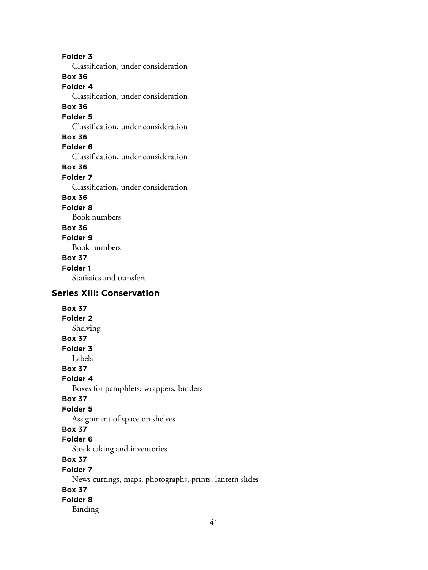**Folder 3** Classification, under consideration **Box 36 Folder 4** Classification, under consideration **Box 36 Folder 5** Classification, under consideration **Box 36 Folder 6** Classification, under consideration **Box 36 Folder 7** Classification, under consideration **Box 36 Folder 8** Book numbers **Box 36 Folder 9** Book numbers **Box 37 Folder 1** Statistics and transfers

# **Series XIII: Conservation**

**Box 37 Folder 2** Shelving **Box 37 Folder 3** Labels **Box 37 Folder 4** Boxes for pamphlets; wrappers, binders **Box 37 Folder 5** Assignment of space on shelves **Box 37 Folder 6** Stock taking and inventories **Box 37 Folder 7** News cuttings, maps, photographs, prints, lantern slides **Box 37 Folder 8** Binding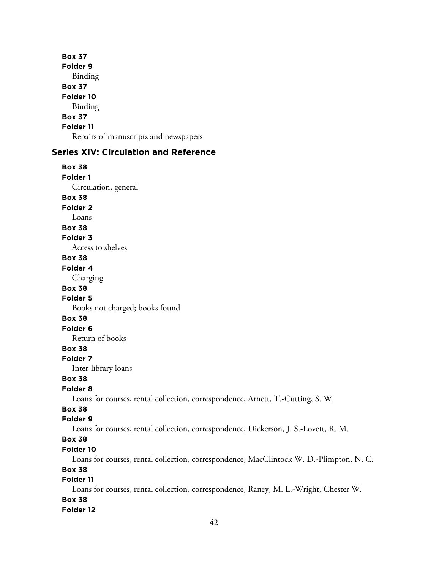**Box 37 Folder 9** Binding **Box 37 Folder 10** Binding **Box 37 Folder 11** Repairs of manuscripts and newspapers

## **Series XIV: Circulation and Reference**

**Box 38 Folder 1** Circulation, general **Box 38 Folder 2** Loans **Box 38 Folder 3** Access to shelves **Box 38 Folder 4** Charging **Box 38 Folder 5** Books not charged; books found **Box 38 Folder 6** Return of books **Box 38 Folder 7** Inter-library loans **Box 38 Folder 8** Loans for courses, rental collection, correspondence, Arnett, T.-Cutting, S. W. **Box 38 Folder 9** Loans for courses, rental collection, correspondence, Dickerson, J. S.-Lovett, R. M. **Box 38 Folder 10** Loans for courses, rental collection, correspondence, MacClintock W. D.-Plimpton, N. C. **Box 38 Folder 11**

Loans for courses, rental collection, correspondence, Raney, M. L.-Wright, Chester W. **Box 38**

#### **Folder 12**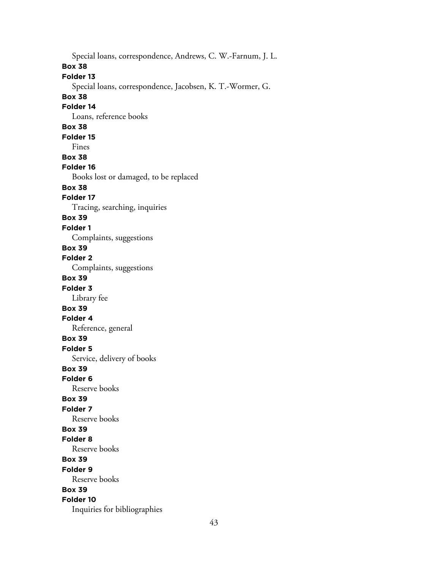Special loans, correspondence, Andrews, C. W.-Farnum, J. L. **Box 38 Folder 13** Special loans, correspondence, Jacobsen, K. T.-Wormer, G. **Box 38 Folder 14** Loans, reference books **Box 38 Folder 15** Fines **Box 38 Folder 16** Books lost or damaged, to be replaced **Box 38 Folder 17** Tracing, searching, inquiries **Box 39 Folder 1** Complaints, suggestions **Box 39 Folder 2** Complaints, suggestions **Box 39 Folder 3** Library fee **Box 39 Folder 4** Reference, general **Box 39 Folder 5** Service, delivery of books **Box 39 Folder 6** Reserve books **Box 39 Folder 7** Reserve books **Box 39 Folder 8** Reserve books **Box 39 Folder 9** Reserve books **Box 39 Folder 10** Inquiries for bibliographies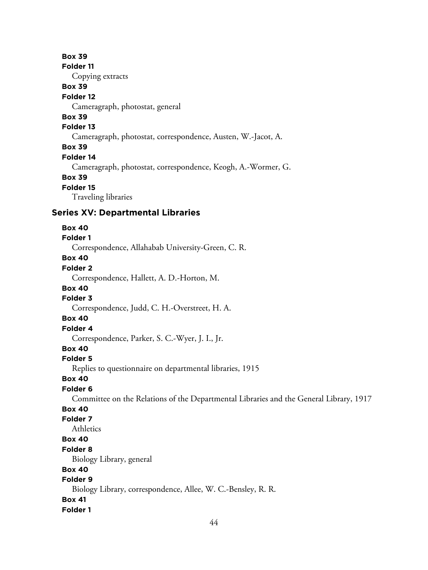#### **Box 39**

**Folder 11**

Copying extracts

# **Box 39**

## **Folder 12**

Cameragraph, photostat, general

# **Box 39**

# **Folder 13**

Cameragraph, photostat, correspondence, Austen, W.-Jacot, A.

#### **Box 39**

#### **Folder 14**

Cameragraph, photostat, correspondence, Keogh, A.-Wormer, G.

#### **Box 39**

## **Folder 15**

Traveling libraries

#### **Series XV: Departmental Libraries**

#### **Box 40**

# **Folder 1**

Correspondence, Allahabab University-Green, C. R.

# **Box 40**

# **Folder 2**

Correspondence, Hallett, A. D.-Horton, M.

# **Box 40**

# **Folder 3**

Correspondence, Judd, C. H.-Overstreet, H. A.

# **Box 40**

# **Folder 4**

Correspondence, Parker, S. C.-Wyer, J. I., Jr.

# **Box 40**

#### **Folder 5**

Replies to questionnaire on departmental libraries, 1915

# **Box 40**

#### **Folder 6**

Committee on the Relations of the Departmental Libraries and the General Library, 1917

# **Box 40**

# **Folder 7**

Athletics

# **Box 40**

## **Folder 8**

Biology Library, general

# **Box 40**

# **Folder 9**

Biology Library, correspondence, Allee, W. C.-Bensley, R. R.

# **Box 41**

#### **Folder 1**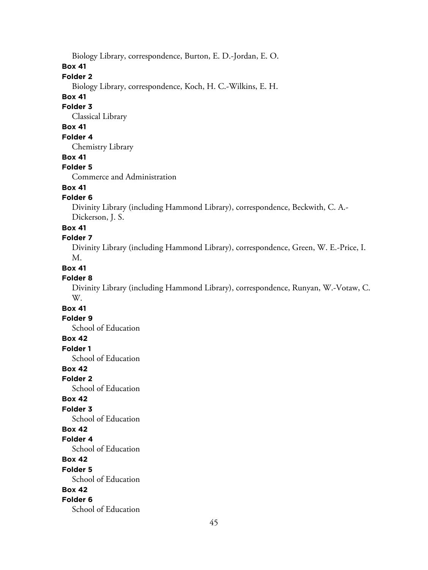Biology Library, correspondence, Burton, E. D.-Jordan, E. O.

**Box 41**

# **Folder 2**

Biology Library, correspondence, Koch, H. C.-Wilkins, E. H.

#### **Box 41**

#### **Folder 3**

Classical Library

# **Box 41**

## **Folder 4**

Chemistry Library

#### **Box 41**

## **Folder 5**

Commerce and Administration

# **Box 41**

## **Folder 6**

Divinity Library (including Hammond Library), correspondence, Beckwith, C. A.- Dickerson, J. S.

#### **Box 41**

#### **Folder 7**

Divinity Library (including Hammond Library), correspondence, Green, W. E.-Price, I. M.

#### **Box 41**

#### **Folder 8**

Divinity Library (including Hammond Library), correspondence, Runyan, W.-Votaw, C. W.

# **Box 41**

## **Folder 9**

School of Education

# **Box 42**

**Folder 1**

School of Education

## **Box 42**

**Folder 2**

School of Education

#### **Box 42**

# **Folder 3**

School of Education

# **Box 42**

**Folder 4**

School of Education

# **Box 42**

**Folder 5**

School of Education

#### **Box 42**

#### **Folder 6**

School of Education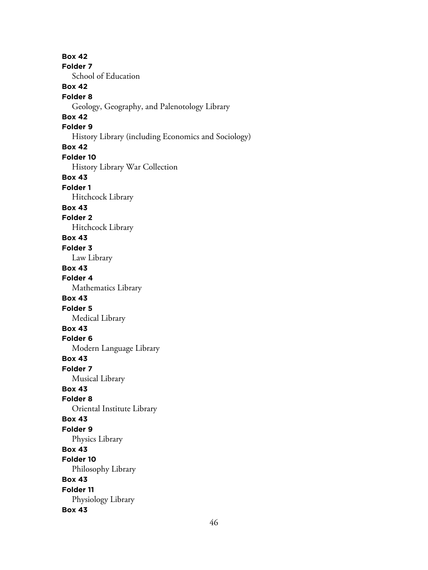**Box 42 Folder 7** School of Education **Box 42 Folder 8** Geology, Geography, and Palenotology Library **Box 42 Folder 9** History Library (including Economics and Sociology) **Box 42 Folder 10** History Library War Collection **Box 43 Folder 1** Hitchcock Library **Box 43 Folder 2** Hitchcock Library **Box 43 Folder 3** Law Library **Box 43 Folder 4** Mathematics Library **Box 43 Folder 5** Medical Library **Box 43 Folder 6** Modern Language Library **Box 43 Folder 7** Musical Library **Box 43 Folder 8** Oriental Institute Library **Box 43 Folder 9** Physics Library **Box 43 Folder 10** Philosophy Library **Box 43 Folder 11** Physiology Library **Box 43**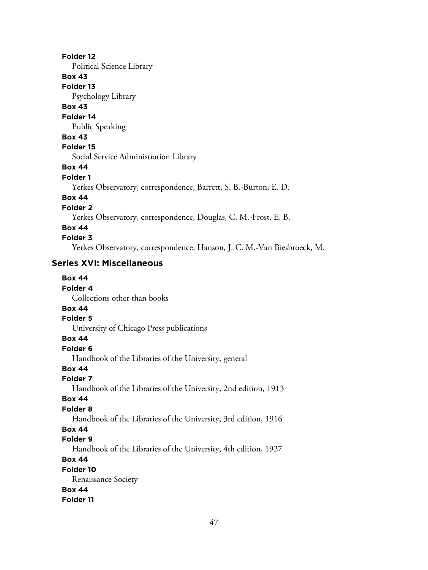#### **Folder 12**

Political Science Library

# **Box 43**

**Folder 13**

Psychology Library

# **Box 43**

**Folder 14**

Public Speaking

## **Box 43**

# **Folder 15**

Social Service Administration Library

# **Box 44**

#### **Folder 1**

Yerkes Observatory, correspondence, Barrett, S. B.-Burton, E. D.

# **Box 44**

**Folder 2**

Yerkes Observatory, correspondence, Douglas, C. M.-Frost, E. B.

# **Box 44**

## **Folder 3**

Yerkes Observatory, correspondence, Hanson, J. C. M.-Van Biesbroeck, M.

# **Series XVI: Miscellaneous**

| <b>Box 44</b>                |
|------------------------------|
| Folder 4                     |
| Collections other than books |
| <b>Box 44</b>                |
| Folder 5                     |
|                              |

University of Chicago Press publications

# **Box 44**

**Folder 6**

Handbook of the Libraries of the University, general

# **Box 44**

# **Folder 7**

Handbook of the Libraries of the University, 2nd edition, 1913

# **Box 44**

#### **Folder 8**

Handbook of the Libraries of the University, 3rd edition, 1916

# **Box 44**

## **Folder 9**

Handbook of the Libraries of the University, 4th edition, 1927

**Box 44**

## **Folder 10**

Renaissance Society

# **Box 44**

**Folder 11**